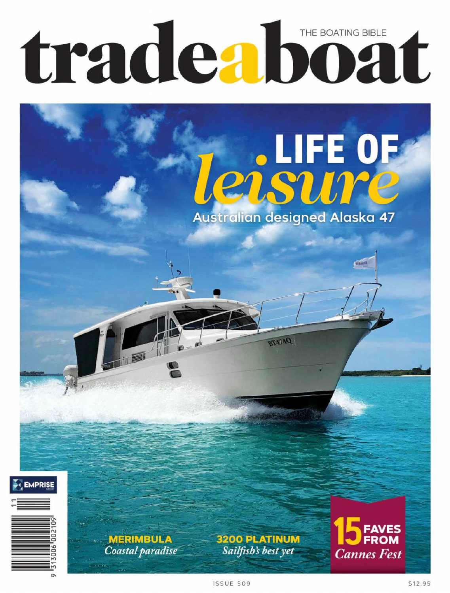## tradeaboat THE BOATING BIBLE

# **Le de lift de Australian designed Alaska 47**

**DATATE** 



**ISSUE 509** 

\$12.95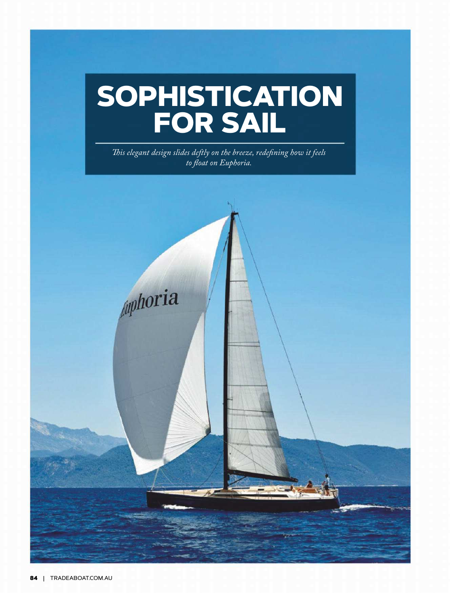#### **84** | TRADEABOAT.COM.AU

### **SOPHISTICATION FOR SAIL**

*Tis elegant design slides deftly on the breeze, redefning how it feels to foat on Euphoria.*